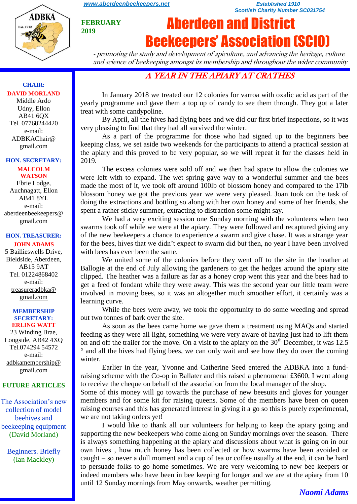

**FEBRUARY 2019**

#### *[www.aberdeenbeekeepers.net](http://www.aberdeenbeekeepers.net/) Established 1910 Scottish Charity Number SC031754*

# Aberdeen and District Beekeepers' Association (SCIO)

- promoting the study and development of apiculture, and advancing the heritage, culture and science of beekeeping amongst its membership and throughout the wider community

# A YEAR IN THE APIARY AT CRATHES

In January 2018 we treated our 12 colonies for varroa with oxalic acid as part of the yearly programme and gave them a top up of candy to see them through. They got a later treat with some candypoline.

By April, all the hives had flying bees and we did our first brief inspections, so it was very pleasing to find that they had all survived the winter.

As a part of the programme for those who had signed up to the beginners bee keeping class, we set aside two weekends for the participants to attend a practical session at the apiary and this proved to be very popular, so we will repeat it for the classes held in 2019.

The excess colonies were sold off and we then had space to allow the colonies we were left with to expand. The wet spring gave way to a wonderful summer and the bees made the most of it, we took off around 100lb of blossom honey and compared to the 17lb blossom honey we got the previous year we were very pleased. Joan took on the task of doing the extractions and bottling so along with her own honey and some of her friends, she spent a rather sticky summer, extracting to distraction some might say.

We had a very exciting session one Sunday morning with the volunteers when two swarms took off while we were at the apiary. They were followed and recaptured giving any of the new beekeepers a chance to experience a swarm and give chase. It was a strange year for the bees, hives that we didn't expect to swarm did but then, no year I have been involved with bees has ever been the same.

We united some of the colonies before they went off to the site in the heather at Ballogie at the end of July allowing the gardeners to get the hedges around the apiary site clipped. The heather was a failure as far as a honey crop went this year and the bees had to get a feed of fondant while they were away. This was the second year our little team were involved in moving bees, so it was an altogether much smoother effort, it certainly was a learning curve.

While the bees were away, we took the opportunity to do some weeding and spread out two tonnes of bark over the site.

As soon as the bees came home we gave them a treatment using MAQs and started feeding as they were all light, something we were very aware of having just had to lift them on and off the trailer for the move. On a visit to the apiary on the  $30<sup>th</sup>$  December, it was 12.5 ° and all the hives had flying bees, we can only wait and see how they do over the coming winter.

Earlier in the year, Yvonne and Catherine Seed entered the ADBKA into a fundraising scheme with the Co-op in Ballater and this raised a phenomenal £3600, I went along to receive the cheque on behalf of the association from the local manager of the shop.

Some of this money will go towards the purchase of new beesuits and gloves for younger members and for some kit for raising queens. Some of the members have been on queen raising courses and this has generated interest in giving it a go so this is purely experimental, we are not taking orders yet!

I would like to thank all our volunteers for helping to keep the apiary going and supporting the new beekeepers who come along on Sunday mornings over the season. There is always something happening at the apiary and discussions about what is going on in our own hives , how much honey has been collected or how swarms have been avoided or caught – so never a dull moment and a cup of tea or coffee usually at the end, it can be hard to persuade folks to go home sometimes. We are very welcoming to new bee keepers or indeed members who have been in bee keeping for longer and we are at the apiary from 10 until 12 Sunday mornings from May onwards, weather permitting.

## **CHAIR: DAVID MORLAND**

Middle Ardo Udny, Ellon AB41 6QX Tel. 07768244420 e-mail: ADBKAChair@ gmail.com

#### **HON. SECRETARY:**

**MALCOLM WATSON** Ebrie Lodge, Auchnagatt, Ellon AB41 8YL e-mail: aberdeenbeekeepers@ gmail.com

#### **HON. TREASURER: JOHN ADAMS**

5 Baillieswells Drive, Bieldside, Aberdeen, AB15 9AT Tel. 01224868402 e-mail: [treasureradbka@](https://e.mail.ru/compose/?mailto=mailto%3atreasureradbka@gmail.com)  [gmail.com](https://e.mail.ru/compose/?mailto=mailto%3atreasureradbka@gmail.com)

#### **MEMBERSHIP SECRETARY: ERLING WATT**

23 Winding Brae, Longside, AB42 4XQ Tel.074294 54572 e-mail: [adbkamembership@](mailto:watterlingg@aol.com) [gmail.com](mailto:watterlingg@aol.com)

### **FUTURE ARTICLES**

The Association's new collection of model beehives and beekeeping equipment (David Morland)

Beginners. Briefly (Ian Mackley)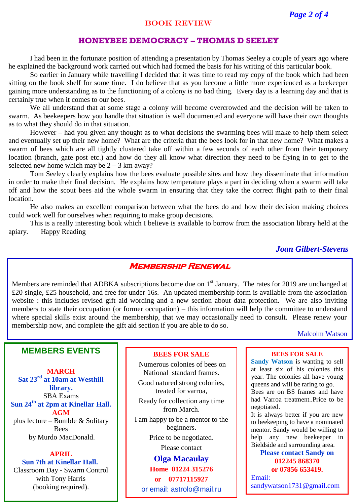#### BOOK REVIEW

#### **HONEYBEE DEMOCRACY – THOMAS D SEELEY**

I had been in the fortunate position of attending a presentation by Thomas Seeley a couple of years ago where he explained the background work carried out which had formed the basis for his writing of this particular book.

So earlier in January while travelling I decided that it was time to read my copy of the book which had been sitting on the book shelf for some time. I do believe that as you become a little more experienced as a beekeeper gaining more understanding as to the functioning of a colony is no bad thing. Every day is a learning day and that is certainly true when it comes to our bees.

We all understand that at some stage a colony will become overcrowded and the decision will be taken to swarm. As beekeepers how you handle that situation is well documented and everyone will have their own thoughts as to what they should do in that situation.

However – had you given any thought as to what decisions the swarming bees will make to help them select and eventually set up their new home? What are the criteria that the bees look for in that new home? What makes a swarm of bees which are all tightly clustered take off within a few seconds of each other from their temporary location (branch, gate post etc.) and how do they all know what direction they need to be flying in to get to the selected new home which may be  $2 - 3$  km away?

Tom Seeley clearly explains how the bees evaluate possible sites and how they disseminate that information in order to make their final decision. He explains how temperature plays a part in deciding when a swarm will take off and how the scout bees aid the whole swarm in ensuring that they take the correct flight path to their final location.

He also makes an excellent comparison between what the bees do and how their decision making choices could work well for ourselves when requiring to make group decisions.

This is a really interesting book which I believe is available to borrow from the association library held at the apiary. Happy Reading

*Joan Gilbert-Stevens*

## **Membership Renewal**

Members are reminded that ADBKA subscriptions become due on  $1<sup>st</sup>$  January. The rates for 2019 are unchanged at £20 single, £25 household, and free for under 16s. An updated membership form is available from the association website : this includes revised gift aid wording and a new section about data protection. We are also inviting members to state their occupation (or former occupation) – this information will help the committee to understand where special skills exist around the membership, that we may occasionally need to consult. Please renew your membership now, and complete the gift aid section if you are able to do so.

#### Malcolm Watson

## **MEMBERS EVENTS**

**MARCH Sat 23rd at 10am at Westhill library.** SBA Exams **Sun 24th at 2pm at Kinellar Hall. AGM**  plus lecture – Bumble & Solitary **Bees** by Murdo MacDonald.

**APRIL Sun 7th at Kinellar Hall.** Classroom Day - Swarm Control with Tony Harris (booking required).

#### **BEES FOR SALE**

Numerous colonies of bees on National standard frames.

Good natured strong colonies, treated for varroa,

Ready for collection any time from March.

I am happy to be a mentor to the beginners. Price to be negotiated.

Please contact

**Olga Macaulay Home 01224 315276 or 07717115927** or email: astrolo@mail.ru

#### **BEES FOR SALE**

**Sandy Watson** is wanting to sell at least six of his colonies this year. The colonies all have young queens and will be raring to go. Bees are on BS frames and have had Varroa treatment..Price to be negotiated.

It is always better if you are new to beekeeping to have a nominated mentor. Sandy would be willing to help any new beekeeper in Bieldside and surrounding area.

#### **Please contact Sandy on 012245 868370 or 07856 653419.**

[Email:](https://e.mail.ru/compose/?mailto=mailto%3asandywatson1731@gmail.com)  [sandywatson1731@gmail.com](https://e.mail.ru/compose/?mailto=mailto%3asandywatson1731@gmail.com)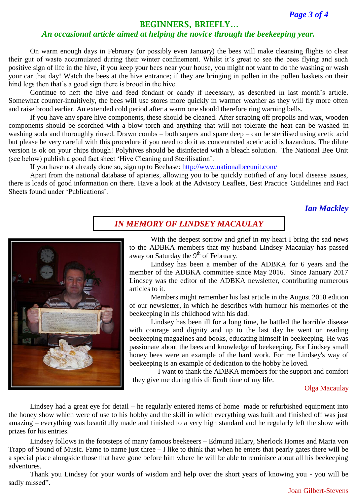*Page 3 of 4*

## **BEGINNERS, BRIEFLY…**

### *An occasional article aimed at helping the novice through the beekeeping year.*

On warm enough days in February (or possibly even January) the bees will make cleansing flights to clear their gut of waste accumulated during their winter confinement. Whilst it's great to see the bees flying and such positive sign of life in the hive, if you keep your bees near your house, you might not want to do the washing or wash your car that day! Watch the bees at the hive entrance; if they are bringing in pollen in the pollen baskets on their hind legs then that's a good sign there is brood in the hive.

Continue to heft the hive and feed fondant or candy if necessary, as described in last month's article. Somewhat counter-intuitively, the bees will use stores more quickly in warmer weather as they will fly more often and raise brood earlier. An extended cold period after a warm one should therefore ring warning bells.

If you have any spare hive components, these should be cleaned. After scraping off propolis and wax, wooden components should be scorched with a blow torch and anything that will not tolerate the heat can be washed in washing soda and thoroughly rinsed. Drawn combs – both supers and spare deep – can be sterilised using acetic acid but please be very careful with this procedure if you need to do it as concentrated acetic acid is hazardous. The dilute version is ok on your chips though! Polyhives should be disinfected with a bleach solution. The National Bee Unit (see below) publish a good fact sheet 'Hive Cleaning and Sterilisation'.

If you have not already done so, sign up to Beebase:<http://www.nationalbeeunit.com/>

Apart from the national database of apiaries, allowing you to be quickly notified of any local disease issues, there is loads of good information on there. Have a look at the Advisory Leaflets, Best Practice Guidelines and Fact Sheets found under 'Publications'.

*Ian Mackley*



### *IN MEMORY OF LINDSEY MACAULAY*

With the deepest sorrow and grief in my heart I bring the sad news to the ADBKA members that my husband Lindsey Macaulay has passed away on Saturday the  $9<sup>th</sup>$  of February.

Lindsey has been a member of the ADBKA for 6 years and the member of the ADBKA committee since May 2016. Since January 2017 Lindsey was the editor of the ADBKA newsletter, contributing numerous articles to it.

Members might remember his last article in the August 2018 edition of our newsletter, in which he describes with humour his memories of the beekeeping in his childhood with his dad.

Lindsey has been ill for a long time, he battled the horrible disease with courage and dignity and up to the last day he went on reading beekeeping magazines and books, educating himself in beekeeping. He was passionate about the bees and knowledge of beekeeping. For Lindsey small honey bees were an example of the hard work. For me Lindsey's way of beekeeping is an example of dedication to the hobby he loved.

I want to thank the ADBKA members for the support and comfort they give me during this difficult time of my life.

Olga Macaulay

Lindsey had a great eye for detail – he regularly entered items of home made or refurbished equipment into the honey show which were of use to his hobby and the skill in which everything was built and finished off was just amazing – everything was beautifully made and finished to a very high standard and he regularly left the show with prizes for his entries.

Lindsey follows in the footsteps of many famous beekeeers – Edmund Hilary, Sherlock Homes and Maria von Trapp of Sound of Music. Fame to name just three – I like to think that when he enters that pearly gates there will be a special place alongside those that have gone before him where he will be able to reminisce about all his beekeeping adventures.

Thank you Lindsey for your words of wisdom and help over the short years of knowing you - you will be sadly missed".